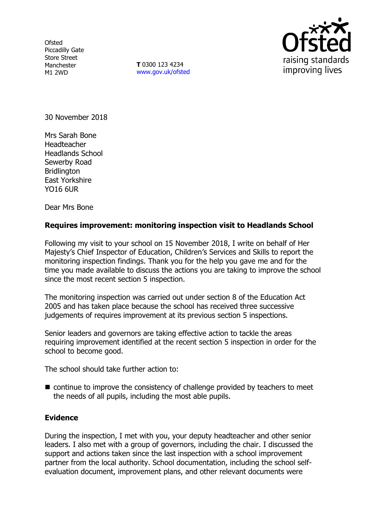**Ofsted** Piccadilly Gate Store Street Manchester M1 2WD

**T** 0300 123 4234 www.gov.uk/ofsted



30 November 2018

Mrs Sarah Bone Headteacher Headlands School Sewerby Road **Bridlington** East Yorkshire YO16 6UR

Dear Mrs Bone

#### **Requires improvement: monitoring inspection visit to Headlands School**

Following my visit to your school on 15 November 2018, I write on behalf of Her Majesty's Chief Inspector of Education, Children's Services and Skills to report the monitoring inspection findings. Thank you for the help you gave me and for the time you made available to discuss the actions you are taking to improve the school since the most recent section 5 inspection.

The monitoring inspection was carried out under section 8 of the Education Act 2005 and has taken place because the school has received three successive judgements of requires improvement at its previous section 5 inspections.

Senior leaders and governors are taking effective action to tackle the areas requiring improvement identified at the recent section 5 inspection in order for the school to become good.

The school should take further action to:

■ continue to improve the consistency of challenge provided by teachers to meet the needs of all pupils, including the most able pupils.

#### **Evidence**

During the inspection, I met with you, your deputy headteacher and other senior leaders. I also met with a group of governors, including the chair. I discussed the support and actions taken since the last inspection with a school improvement partner from the local authority. School documentation, including the school selfevaluation document, improvement plans, and other relevant documents were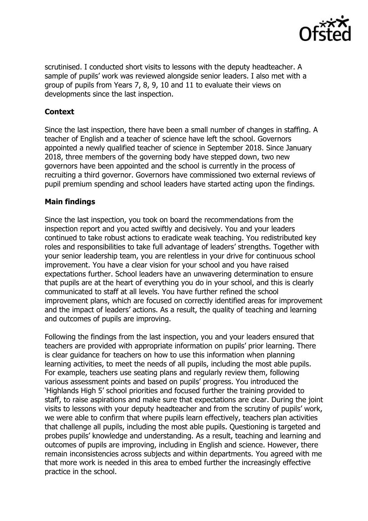

scrutinised. I conducted short visits to lessons with the deputy headteacher. A sample of pupils' work was reviewed alongside senior leaders. I also met with a group of pupils from Years 7, 8, 9, 10 and 11 to evaluate their views on developments since the last inspection.

## **Context**

Since the last inspection, there have been a small number of changes in staffing. A teacher of English and a teacher of science have left the school. Governors appointed a newly qualified teacher of science in September 2018. Since January 2018, three members of the governing body have stepped down, two new governors have been appointed and the school is currently in the process of recruiting a third governor. Governors have commissioned two external reviews of pupil premium spending and school leaders have started acting upon the findings.

### **Main findings**

Since the last inspection, you took on board the recommendations from the inspection report and you acted swiftly and decisively. You and your leaders continued to take robust actions to eradicate weak teaching. You redistributed key roles and responsibilities to take full advantage of leaders' strengths. Together with your senior leadership team, you are relentless in your drive for continuous school improvement. You have a clear vision for your school and you have raised expectations further. School leaders have an unwavering determination to ensure that pupils are at the heart of everything you do in your school, and this is clearly communicated to staff at all levels. You have further refined the school improvement plans, which are focused on correctly identified areas for improvement and the impact of leaders' actions. As a result, the quality of teaching and learning and outcomes of pupils are improving.

Following the findings from the last inspection, you and your leaders ensured that teachers are provided with appropriate information on pupils' prior learning. There is clear guidance for teachers on how to use this information when planning learning activities, to meet the needs of all pupils, including the most able pupils. For example, teachers use seating plans and regularly review them, following various assessment points and based on pupils' progress. You introduced the 'Highlands High 5' school priorities and focused further the training provided to staff, to raise aspirations and make sure that expectations are clear. During the joint visits to lessons with your deputy headteacher and from the scrutiny of pupils' work, we were able to confirm that where pupils learn effectively, teachers plan activities that challenge all pupils, including the most able pupils. Questioning is targeted and probes pupils' knowledge and understanding. As a result, teaching and learning and outcomes of pupils are improving, including in English and science. However, there remain inconsistencies across subjects and within departments. You agreed with me that more work is needed in this area to embed further the increasingly effective practice in the school.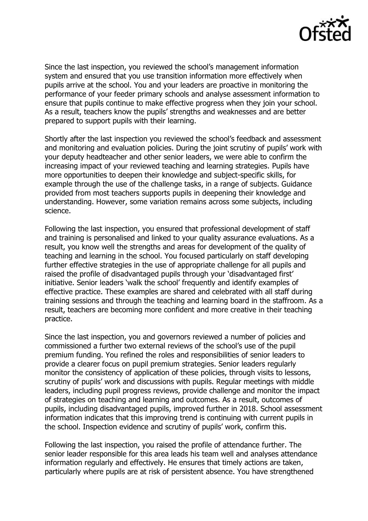

Since the last inspection, you reviewed the school's management information system and ensured that you use transition information more effectively when pupils arrive at the school. You and your leaders are proactive in monitoring the performance of your feeder primary schools and analyse assessment information to ensure that pupils continue to make effective progress when they join your school. As a result, teachers know the pupils' strengths and weaknesses and are better prepared to support pupils with their learning.

Shortly after the last inspection you reviewed the school's feedback and assessment and monitoring and evaluation policies. During the joint scrutiny of pupils' work with your deputy headteacher and other senior leaders, we were able to confirm the increasing impact of your reviewed teaching and learning strategies. Pupils have more opportunities to deepen their knowledge and subject-specific skills, for example through the use of the challenge tasks, in a range of subjects. Guidance provided from most teachers supports pupils in deepening their knowledge and understanding. However, some variation remains across some subjects, including science.

Following the last inspection, you ensured that professional development of staff and training is personalised and linked to your quality assurance evaluations. As a result, you know well the strengths and areas for development of the quality of teaching and learning in the school. You focused particularly on staff developing further effective strategies in the use of appropriate challenge for all pupils and raised the profile of disadvantaged pupils through your 'disadvantaged first' initiative. Senior leaders 'walk the school' frequently and identify examples of effective practice. These examples are shared and celebrated with all staff during training sessions and through the teaching and learning board in the staffroom. As a result, teachers are becoming more confident and more creative in their teaching practice.

Since the last inspection, you and governors reviewed a number of policies and commissioned a further two external reviews of the school's use of the pupil premium funding. You refined the roles and responsibilities of senior leaders to provide a clearer focus on pupil premium strategies. Senior leaders regularly monitor the consistency of application of these policies, through visits to lessons, scrutiny of pupils' work and discussions with pupils. Regular meetings with middle leaders, including pupil progress reviews, provide challenge and monitor the impact of strategies on teaching and learning and outcomes. As a result, outcomes of pupils, including disadvantaged pupils, improved further in 2018. School assessment information indicates that this improving trend is continuing with current pupils in the school. Inspection evidence and scrutiny of pupils' work, confirm this.

Following the last inspection, you raised the profile of attendance further. The senior leader responsible for this area leads his team well and analyses attendance information regularly and effectively. He ensures that timely actions are taken, particularly where pupils are at risk of persistent absence. You have strengthened